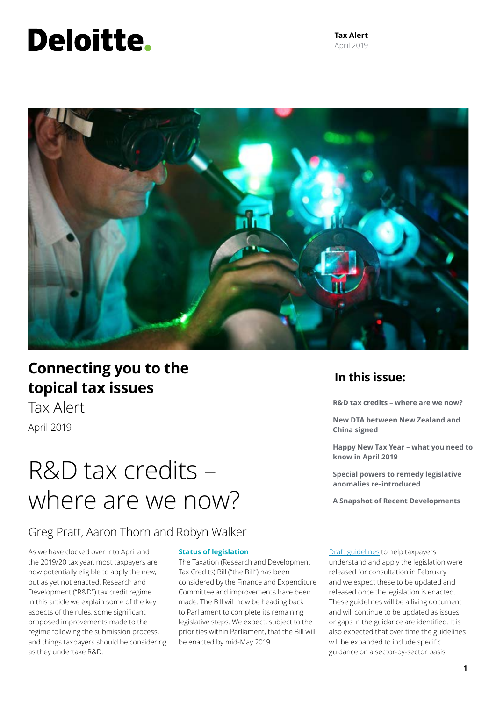# **Deloitte.**

**Tax Alert** April 2019



### **In this issue: Connecting you to the topical tax issues**

Tax Alert April 2019

# R&D tax credits – where are we now?

**R&D tax credits – where are we now?** 

**New DTA between New Zealand and China signed**

**Happy New Tax Year – what you need to know in April 2019** 

**Special powers to remedy legislative anomalies re-introduced**

**A Snapshot of Recent Developments**

### Greg Pratt, Aaron Thorn and Robyn Walker

As we have clocked over into April and the 2019/20 tax year, most taxpayers are now potentially eligible to apply the new, but as yet not enacted, Research and Development ("R&D") tax credit regime. In this article we explain some of the key aspects of the rules, some significant proposed improvements made to the regime following the submission process, and things taxpayers should be considering as they undertake R&D.

#### **Status of legislation**

The Taxation (Research and Development Tax Credits) Bill ("the Bill") has been considered by the Finance and Expenditure Committee and improvements have been made. The Bill will now be heading back to Parliament to complete its remaining legislative steps. We expect, subject to the priorities within Parliament, that the Bill will be enacted by mid-May 2019.

[Draft guidelines](https://govt.loomio.nz/rdtaxcredit) to help taxpayers understand and apply the legislation were released for consultation in February and we expect these to be updated and released once the legislation is enacted. These guidelines will be a living document and will continue to be updated as issues or gaps in the guidance are identified. It is also expected that over time the guidelines will be expanded to include specific guidance on a sector-by-sector basis.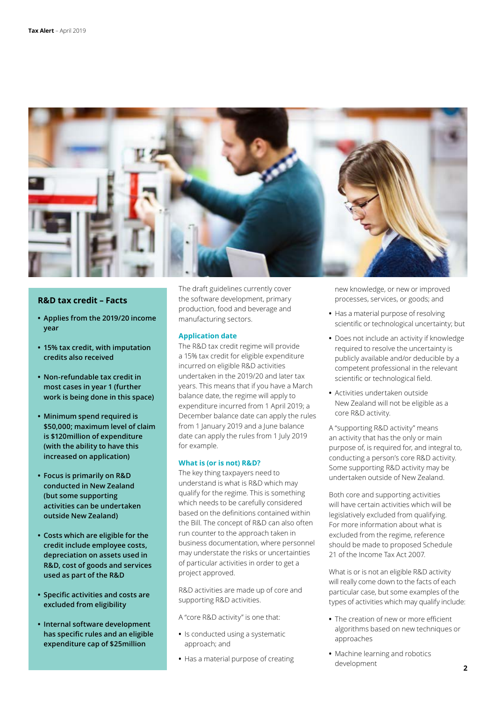

#### **R&D tax credit – Facts**

- **• Applies from the 2019/20 income year**
- **• 15% tax credit, with imputation credits also received**
- **• Non-refundable tax credit in most cases in year 1 (further work is being done in this space)**
- **• Minimum spend required is \$50,000; maximum level of claim is \$120million of expenditure (with the ability to have this increased on application)**
- **• Focus is primarily on R&D conducted in New Zealand (but some supporting activities can be undertaken outside New Zealand)**
- **• Costs which are eligible for the credit include employee costs, depreciation on assets used in R&D, cost of goods and services used as part of the R&D**
- **• Specific activities and costs are excluded from eligibility**
- **• Internal software development has specific rules and an eligible expenditure cap of \$25million**

The draft guidelines currently cover the software development, primary production, food and beverage and manufacturing sectors.

#### **Application date**

The R&D tax credit regime will provide a 15% tax credit for eligible expenditure incurred on eligible R&D activities undertaken in the 2019/20 and later tax years. This means that if you have a March balance date, the regime will apply to expenditure incurred from 1 April 2019; a December balance date can apply the rules from 1 January 2019 and a June balance date can apply the rules from 1 July 2019 for example.

#### **What is (or is not) R&D?**

The key thing taxpayers need to understand is what is R&D which may qualify for the regime. This is something which needs to be carefully considered based on the definitions contained within the Bill. The concept of R&D can also often run counter to the approach taken in business documentation, where personnel may understate the risks or uncertainties of particular activities in order to get a project approved.

R&D activities are made up of core and supporting R&D activities.

A "core R&D activity" is one that:

- **•** Is conducted using a systematic approach; and
- **•** Has a material purpose of creating

new knowledge, or new or improved processes, services, or goods; and

- **•** Has a material purpose of resolving scientific or technological uncertainty; but
- **•** Does not include an activity if knowledge required to resolve the uncertainty is publicly available and/or deducible by a competent professional in the relevant scientific or technological field.
- **•** Activities undertaken outside New Zealand will not be eligible as a core R&D activity.

A "supporting R&D activity" means an activity that has the only or main purpose of, is required for, and integral to, conducting a person's core R&D activity. Some supporting R&D activity may be undertaken outside of New Zealand.

Both core and supporting activities will have certain activities which will be legislatively excluded from qualifying. For more information about what is excluded from the regime, reference should be made to proposed Schedule 21 of the Income Tax Act 2007.

What is or is not an eligible R&D activity will really come down to the facts of each particular case, but some examples of the types of activities which may qualify include:

- **•** The creation of new or more efficient algorithms based on new techniques or approaches
- **•** Machine learning and robotics development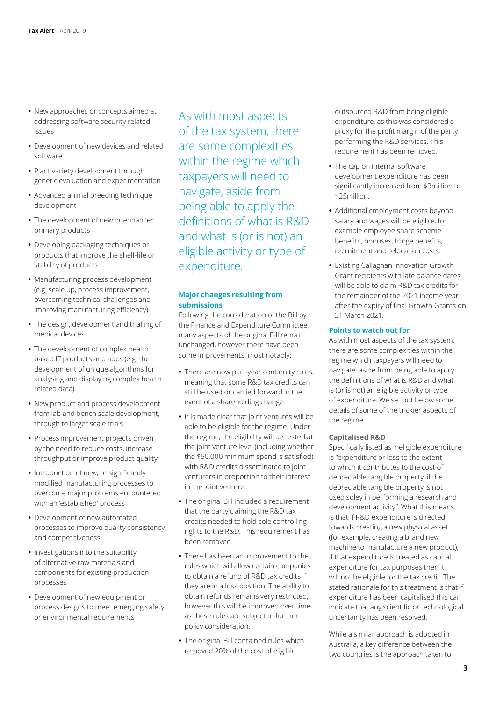- **•** New approaches or concepts aimed at addressing software security related issues
- **•** Development of new devices and related software
- **•** Plant variety development through genetic evaluation and experimentation
- **•** Advanced animal breeding technique development
- **•** The development of new or enhanced primary products
- **•** Developing packaging techniques or products that improve the shelf-life or stability of products
- **•** Manufacturing process development (e.g. scale up, process improvement, overcoming technical challenges and improving manufacturing efficiency)
- **•** The design, development and trialling of medical devices
- **•** The development of complex health based IT products and apps (e.g. the development of unique algorithms for analysing and displaying complex health related data)
- **•** New product and process development from lab and bench scale development, through to larger scale trials
- **•** Process improvement projects driven by the need to reduce costs, increase throughput or improve product quality
- **•** Introduction of new, or significantly modified manufacturing processes to overcome major problems encountered with an 'established' process
- **•** Development of new automated processes to improve quality consistency and competitiveness
- **•** Investigations into the suitability of alternative raw materials and components for existing production processes
- **•** Development of new equipment or process designs to meet emerging safety or environmental requirements

As with most aspects of the tax system, there are some complexities within the regime which taxpayers will need to navigate, aside from being able to apply the definitions of what is R&D and what is (or is not) an eligible activity or type of expenditure.

#### **Major changes resulting from submissions**

Following the consideration of the Bill by the Finance and Expenditure Committee, many aspects of the original Bill remain unchanged, however there have been some improvements, most notably:

- **•** There are now part-year continuity rules, meaning that some R&D tax credits can still be used or carried forward in the event of a shareholding change.
- **•** It is made clear that joint ventures will be able to be eligible for the regime. Under the regime, the eligibility will be tested at the joint venture level (including whether the \$50,000 minimum spend is satisfied), with R&D credits disseminated to joint venturers in proportion to their interest in the joint venture.
- **•** The original Bill included a requirement that the party claiming the R&D tax credits needed to hold sole controlling rights to the R&D. This requirement has been removed.
- **•** There has been an improvement to the rules which will allow certain companies to obtain a refund of R&D tax credits if they are in a loss position. The ability to obtain refunds remains very restricted, however this will be improved over time as these rules are subject to further policy consideration.
- **•** The original Bill contained rules which removed 20% of the cost of eligible

outsourced R&D from being eligible expenditure, as this was considered a proxy for the profit margin of the party performing the R&D services. This requirement has been removed.

- **•** The cap on internal software development expenditure has been significantly increased from \$3million to \$25million.
- **•** Additional employment costs beyond salary and wages will be eligible, for example employee share scheme benefits, bonuses, fringe benefits, recruitment and relocation costs.
- **•** Existing Callaghan Innovation Growth Grant recipients with late balance dates will be able to claim R&D tax credits for the remainder of the 2021 income year after the expiry of final Growth Grants on 31 March 2021.

#### **Points to watch out for**

As with most aspects of the tax system, there are some complexities within the regime which taxpayers will need to navigate, aside from being able to apply the definitions of what is R&D and what is (or is not) an eligible activity or type of expenditure. We set out below some details of some of the trickier aspects of the regime.

#### **Capitalised R&D**

Specifically listed as ineligible expenditure is "expenditure or loss to the extent to which it contributes to the cost of depreciable tangible property, if the depreciable tangible property is not used soley in performing a research and development activity". What this means is that if R&D expenditure is directed towards creating a new physical asset (for example, creating a brand new machine to manufacture a new product), if that expenditure is treated as capital expenditure for tax purposes then it will not be eligible for the tax credit. The stated rationale for this treatment is that if expenditure has been capitalised this can indicate that any scientific or technological uncertainty has been resolved.

While a similar approach is adopted in Australia, a key difference between the two countries is the approach taken to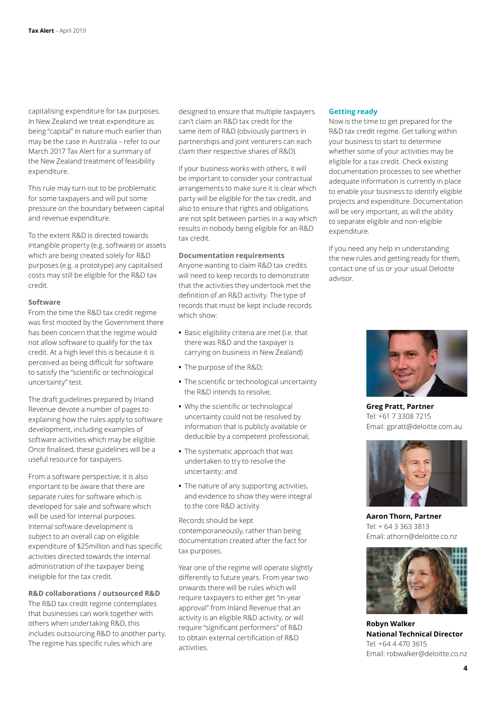capitalising expenditure for tax purposes. In New Zealand we treat expenditure as being "capital" in nature much earlier than may be the case in Australia – refer to our March 2017 Tax Alert for a summary of the New Zealand treatment of feasibility expenditure.

This rule may turn out to be problematic for some taxpayers and will put some pressure on the boundary between capital and revenue expenditure.

To the extent R&D is directed towards intangible property (e.g. software) or assets which are being created solely for R&D purposes (e.g. a prototype) any capitalised costs may still be eligible for the R&D tax credit.

#### **Software**

From the time the R&D tax credit regime was first mooted by the Government there has been concern that the regime would not allow software to qualify for the tax credit. At a high level this is because it is perceived as being difficult for software to satisfy the "scientific or technological uncertainty" test.

The draft guidelines prepared by Inland Revenue devote a number of pages to explaining how the rules apply to software development, including examples of software activities which may be eligible. Once finalised, these guidelines will be a useful resource for taxpayers.

From a software perspective, it is also important to be aware that there are separate rules for software which is developed for sale and software which will be used for internal purposes. Internal software development is subject to an overall cap on eligible expenditure of \$25million and has specific activities directed towards the internal administration of the taxpayer being ineligible for the tax credit.

#### **R&D collaborations / outsourced R&D**

The R&D tax credit regime contemplates that businesses can work together with others when undertaking R&D, this includes outsourcing R&D to another party. The regime has specific rules which are

designed to ensure that multiple taxpayers can't claim an R&D tax credit for the same item of R&D (obviously partners in partnerships and joint venturers can each claim their respective shares of R&D).

If your business works with others, it will be important to consider your contractual arrangements to make sure it is clear which party will be eligible for the tax credit, and also to ensure that rights and obligations are not split between parties in a way which results in nobody being eligible for an R&D tax credit.

#### **Documentation requirements**

Anyone wanting to claim R&D tax credits will need to keep records to demonstrate that the activities they undertook met the definition of an R&D activity. The type of records that must be kept include records which show:

- **•** Basic eligibility criteria are met (i.e. that there was R&D and the taxpayer is carrying on business in New Zealand)
- **•** The purpose of the R&D;
- **•** The scientific or technological uncertainty the R&D intends to resolve;
- **•** Why the scientific or technological uncertainty could not be resolved by information that is publicly available or deducible by a competent professional;
- **•** The systematic approach that was undertaken to try to resolve the uncertainty; and
- **•** The nature of any supporting activities, and evidence to show they were integral to the core R&D activity.

Records should be kept contemporaneously, rather than being documentation created after the fact for tax purposes.

Year one of the regime will operate slightly differently to future years. From year two onwards there will be rules which will require taxpayers to either get "in-year approval" from Inland Revenue that an activity is an eligible R&D activity, or will require "significant performers" of R&D to obtain external certification of R&D activities.

#### **Getting ready**

Now is the time to get prepared for the R&D tax credit regime. Get talking within your business to start to determine whether some of your activities may be eligible for a tax credit. Check existing documentation processes to see whether adequate information is currently in place to enable your business to identify eligible projects and expenditure. Documentation will be very important, as will the ability to separate eligible and non-eligible expenditure.

If you need any help in understanding the new rules and getting ready for them, contact one of us or your usual Deloitte advisor.



**Greg Pratt, Partner** Tel: +61 7 3308 7215 Email: gpratt@deloitte.com.au



**Aaron Thorn, Partner** Tel: + 64 3 363 3813 Email: athorn@deloitte.co.nz



**Robyn Walker National Technical Director** Tel: +64 4 470 3615 Email: robwalker@deloitte.co.nz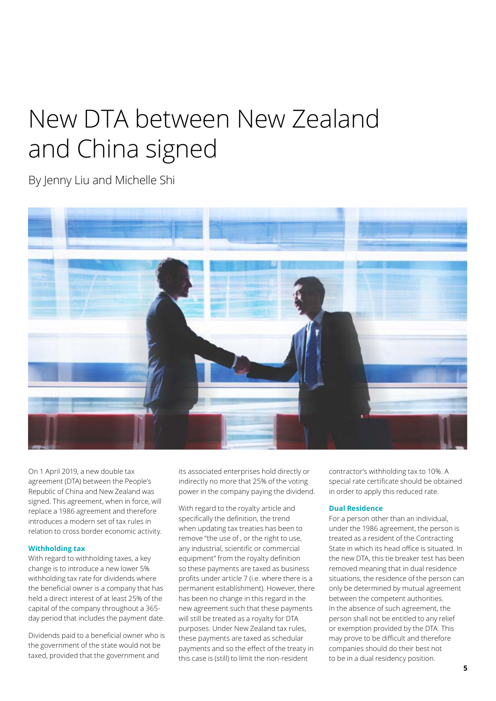# New DTA between New Zealand and China signed

By Jenny Liu and Michelle Shi



On 1 April 2019, a new double tax agreement (DTA) between the People's Republic of China and New Zealand was signed. This agreement, when in force, will replace a 1986 agreement and therefore introduces a modern set of tax rules in relation to cross border economic activity.

#### **Withholding tax**

With regard to withholding taxes, a key change is to introduce a new lower 5% withholding tax rate for dividends where the beneficial owner is a company that has held a direct interest of at least 25% of the capital of the company throughout a 365 day period that includes the payment date.

Dividends paid to a beneficial owner who is the government of the state would not be taxed, provided that the government and

its associated enterprises hold directly or indirectly no more that 25% of the voting power in the company paying the dividend.

With regard to the royalty article and specifically the definition, the trend when updating tax treaties has been to remove "the use of , or the right to use, any industrial, scientific or commercial equipment" from the royalty definition so these payments are taxed as business profits under article 7 (i.e. where there is a permanent establishment). However, there has been no change in this regard in the new agreement such that these payments will still be treated as a royalty for DTA purposes. Under New Zealand tax rules, these payments are taxed as schedular payments and so the effect of the treaty in this case is (still) to limit the non-resident

contractor's withholding tax to 10%. A special rate certificate should be obtained in order to apply this reduced rate.

#### **Dual Residence**

For a person other than an individual, under the 1986 agreement, the person is treated as a resident of the Contracting State in which its head office is situated. In the new DTA, this tie breaker test has been removed meaning that in dual residence situations, the residence of the person can only be determined by mutual agreement between the competent authorities. In the absence of such agreement, the person shall not be entitled to any relief or exemption provided by the DTA. This may prove to be difficult and therefore companies should do their best not to be in a dual residency position.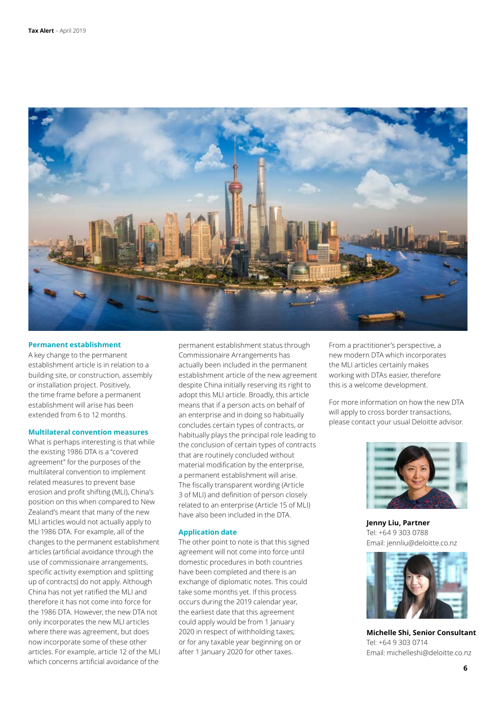

#### **Permanent establishment**

A key change to the permanent establishment article is in relation to a building site, or construction, assembly or installation project. Positively, the time frame before a permanent establishment will arise has been extended from 6 to 12 months.

#### **Multilateral convention measures**

What is perhaps interesting is that while the existing 1986 DTA is a "covered agreement" for the purposes of the multilateral convention to implement related measures to prevent base erosion and profit shifting (MLI), China's position on this when compared to New Zealand's meant that many of the new MLI articles would not actually apply to the 1986 DTA. For example, all of the changes to the permanent establishment articles (artificial avoidance through the use of commissionaire arrangements, specific activity exemption and splitting up of contracts) do not apply. Although China has not yet ratified the MLI and therefore it has not come into force for the 1986 DTA. However, the new DTA not only incorporates the new MLI articles where there was agreement, but does now incorporate some of these other articles. For example, article 12 of the MLI which concerns artificial avoidance of the

permanent establishment status through Commissionaire Arrangements has actually been included in the permanent establishment article of the new agreement despite China initially reserving its right to adopt this MLI article. Broadly, this article means that if a person acts on behalf of an enterprise and in doing so habitually concludes certain types of contracts, or habitually plays the principal role leading to the conclusion of certain types of contracts that are routinely concluded without material modification by the enterprise, a permanent establishment will arise. The fiscally transparent wording (Article 3 of MLI) and definition of person closely related to an enterprise (Article 15 of MLI) have also been included in the DTA.

#### **Application date**

The other point to note is that this signed agreement will not come into force until domestic procedures in both countries have been completed and there is an exchange of diplomatic notes. This could take some months yet. If this process occurs during the 2019 calendar year, the earliest date that this agreement could apply would be from 1 January 2020 in respect of withholding taxes; or for any taxable year beginning on or after 1 January 2020 for other taxes.

From a practitioner's perspective, a new modern DTA which incorporates the MLI articles certainly makes working with DTAs easier, therefore this is a welcome development.

For more information on how the new DTA will apply to cross border transactions, please contact your usual Deloitte advisor.



**Jenny Liu, Partner** Tel: +64 9 303 0788 Email: jennliu@deloitte.co.nz



**Michelle Shi, Senior Consultant** Tel: +64 9 303 0714 Email: michelleshi@deloitte.co.nz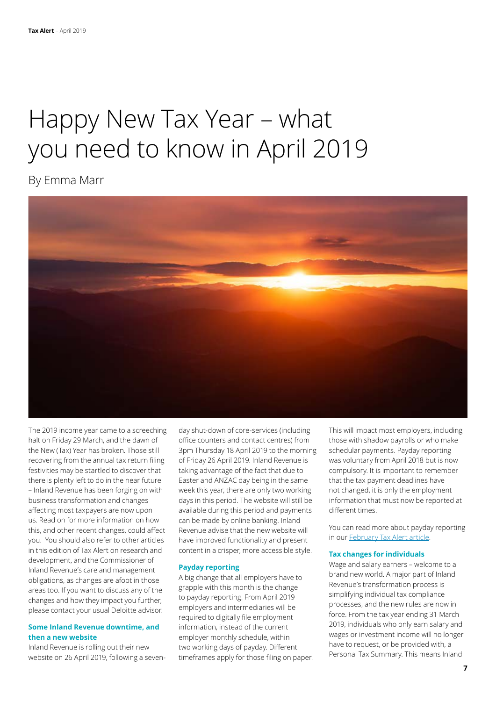# Happy New Tax Year – what you need to know in April 2019

By Emma Marr



The 2019 income year came to a screeching halt on Friday 29 March, and the dawn of the New (Tax) Year has broken. Those still recovering from the annual tax return filing festivities may be startled to discover that there is plenty left to do in the near future – Inland Revenue has been forging on with business transformation and changes affecting most taxpayers are now upon us. Read on for more information on how this, and other recent changes, could affect you. You should also refer to other articles in this edition of Tax Alert on research and development, and the Commissioner of Inland Revenue's care and management obligations, as changes are afoot in those areas too. If you want to discuss any of the changes and how they impact you further, please contact your usual Deloitte advisor.

#### **Some Inland Revenue downtime, and then a new website**

Inland Revenue is rolling out their new website on 26 April 2019, following a sevenday shut-down of core-services (including office counters and contact centres) from 3pm Thursday 18 April 2019 to the morning of Friday 26 April 2019. Inland Revenue is taking advantage of the fact that due to Easter and ANZAC day being in the same week this year, there are only two working days in this period. The website will still be available during this period and payments can be made by online banking. Inland Revenue advise that the new website will have improved functionality and present content in a crisper, more accessible style.

#### **Payday reporting**

A big change that all employers have to grapple with this month is the change to payday reporting. From April 2019 employers and intermediaries will be required to digitally file employment information, instead of the current employer monthly schedule, within two working days of payday. Different timeframes apply for those filing on paper. This will impact most employers, including those with shadow payrolls or who make schedular payments. Payday reporting was voluntary from April 2018 but is now compulsory. It is important to remember that the tax payment deadlines have not changed, it is only the employment information that must now be reported at different times.

You can read more about payday reporting in our [February Tax Alert article](https://www2.deloitte.com/nz/en/pages/tax-alerts/articles/payday-reporting-around-corner.html).

#### **Tax changes for individuals**

Wage and salary earners – welcome to a brand new world. A major part of Inland Revenue's transformation process is simplifying individual tax compliance processes, and the new rules are now in force. From the tax year ending 31 March 2019, individuals who only earn salary and wages or investment income will no longer have to request, or be provided with, a Personal Tax Summary. This means Inland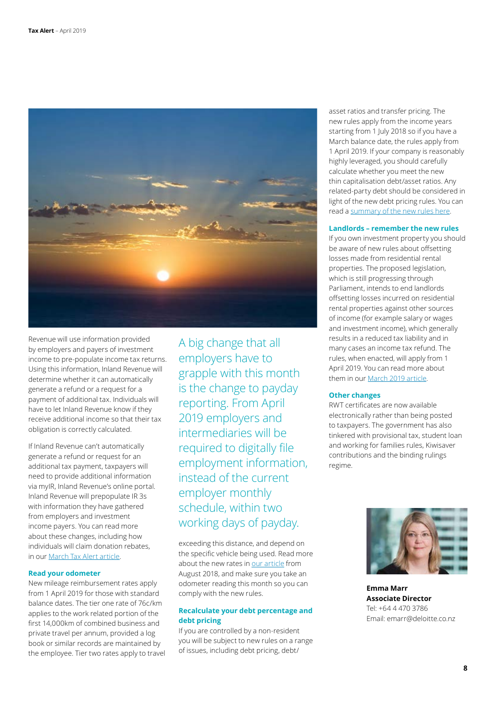

Revenue will use information provided by employers and payers of investment income to pre-populate income tax returns. Using this information, Inland Revenue will determine whether it can automatically generate a refund or a request for a payment of additional tax. Individuals will have to let Inland Revenue know if they receive additional income so that their tax obligation is correctly calculated.

If Inland Revenue can't automatically generate a refund or request for an additional tax payment, taxpayers will need to provide additional information via myIR, Inland Revenue's online portal. Inland Revenue will prepopulate IR 3s with information they have gathered from employers and investment income payers. You can read more about these changes, including how individuals will claim donation rebates, in our [March Tax Alert article](https://www2.deloitte.com/nz/en/pages/tax-alerts/articles/tax-changing-everyone.html).

#### **Read your odometer**

New mileage reimbursement rates apply from 1 April 2019 for those with standard balance dates. The tier one rate of 76c/km applies to the work related portion of the first 14,000km of combined business and private travel per annum, provided a log book or similar records are maintained by the employee. Tier two rates apply to travel A big change that all employers have to grapple with this month is the change to payday reporting. From April 2019 employers and intermediaries will be required to digitally file employment information, instead of the current employer monthly schedule, within two working days of payday.

exceeding this distance, and depend on the specific vehicle being used. Read more about the new rates in [our article](https://www2.deloitte.com/nz/en/pages/tax-alerts/articles/statement-on-reimbursement-of-mileage-costs-finalised.html) from August 2018, and make sure you take an odometer reading this month so you can comply with the new rules.

#### **Recalculate your debt percentage and debt pricing**

If you are controlled by a non-resident you will be subject to new rules on a range of issues, including debt pricing, debt/

asset ratios and transfer pricing. The new rules apply from the income years starting from 1 July 2018 so if you have a March balance date, the rules apply from 1 April 2019. If your company is reasonably highly leveraged, you should carefully calculate whether you meet the new thin capitalisation debt/asset ratios. Any related-party debt should be considered in light of the new debt pricing rules. You can read a [summary of the new rules here](https://www2.deloitte.com/nz/en/pages/tax-alerts/articles/beps-guidance-released-to-provide-clarity.html).

#### **Landlords – remember the new rules**

If you own investment property you should be aware of new rules about offsetting losses made from residential rental properties. The proposed legislation, which is still progressing through Parliament, intends to end landlords offsetting losses incurred on residential rental properties against other sources of income (for example salary or wages and investment income), which generally results in a reduced tax liability and in many cases an income tax refund. The rules, when enacted, will apply from 1 April 2019. You can read more about them in our [March 2019 article.](https://www2.deloitte.com/nz/en/pages/tax-alerts/articles/tax-changes-residential-rental-owners.html)

#### **Other changes**

RWT certificates are now available electronically rather than being posted to taxpayers. The government has also tinkered with provisional tax, student loan and working for families rules, Kiwisaver contributions and the binding rulings regime.



**Emma Marr Associate Director** Tel: +64 4 470 3786 Email: emarr@deloitte.co.nz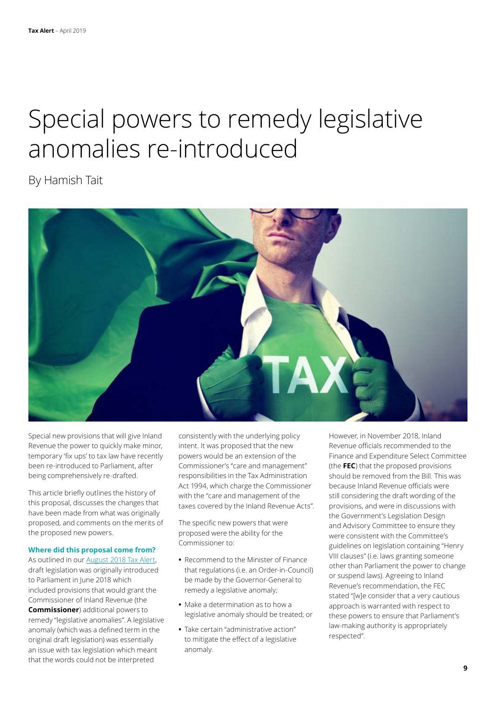## Special powers to remedy legislative anomalies re-introduced

By Hamish Tait



Special new provisions that will give Inland Revenue the power to quickly make minor, temporary 'fix ups' to tax law have recently been re-introduced to Parliament, after being comprehensively re-drafted.

This article briefly outlines the history of this proposal, discusses the changes that have been made from what was originally proposed, and comments on the merits of the proposed new powers.

#### **Where did this proposal come from?**

As outlined in our [August 2018 Tax Alert](https://www2.deloitte.com/nz/en/pages/tax-alerts/articles/modernising-tax-administration.html), draft legislation was originally introduced to Parliament in June 2018 which included provisions that would grant the Commissioner of Inland Revenue (the **Commissioner**) additional powers to remedy "legislative anomalies". A legislative anomaly (which was a defined term in the original draft legislation) was essentially an issue with tax legislation which meant that the words could not be interpreted

consistently with the underlying policy intent. It was proposed that the new powers would be an extension of the Commissioner's "care and management" responsibilities in the Tax Administration Act 1994, which charge the Commissioner with the "care and management of the taxes covered by the Inland Revenue Acts".

The specific new powers that were proposed were the ability for the Commissioner to:

- **•** Recommend to the Minister of Finance that regulations (i.e. an Order-in-Council) be made by the Governor-General to remedy a legislative anomaly;
- **•** Make a determination as to how a legislative anomaly should be treated; or
- **•** Take certain "administrative action" to mitigate the effect of a legislative anomaly.

However, in November 2018, Inland Revenue officials recommended to the Finance and Expenditure Select Committee (the **FEC**) that the proposed provisions should be removed from the Bill. This was because Inland Revenue officials were still considering the draft wording of the provisions, and were in discussions with the Government's Legislation Design and Advisory Committee to ensure they were consistent with the Committee's guidelines on legislation containing "Henry VIII clauses" (i.e. laws granting someone other than Parliament the power to change or suspend laws). Agreeing to Inland Revenue's recommendation, the FEC stated "[w]e consider that a very cautious approach is warranted with respect to these powers to ensure that Parliament's law-making authority is appropriately respected".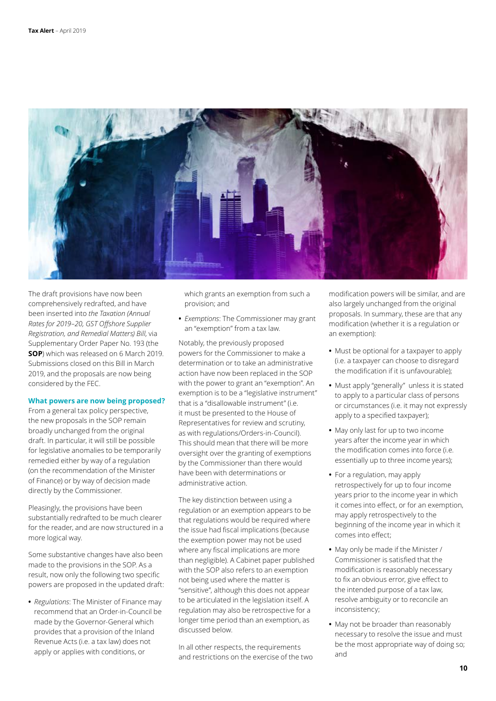

The draft provisions have now been comprehensively redrafted, and have been inserted into *the Taxation (Annual Rates for 2019–20, GST Offshore Supplier Registration, and Remedial Matters) Bill*, via Supplementary Order Paper No. 193 (the **SOP**) which was released on 6 March 2019. Submissions closed on this Bill in March 2019, and the proposals are now being considered by the FEC.

#### **What powers are now being proposed?**

From a general tax policy perspective, the new proposals in the SOP remain broadly unchanged from the original draft. In particular, it will still be possible for legislative anomalies to be temporarily remedied either by way of a regulation (on the recommendation of the Minister of Finance) or by way of decision made directly by the Commissioner.

Pleasingly, the provisions have been substantially redrafted to be much clearer for the reader, and are now structured in a more logical way.

Some substantive changes have also been made to the provisions in the SOP. As a result, now only the following two specific powers are proposed in the updated draft:

**•** *Regulations*: The Minister of Finance may recommend that an Order-in-Council be made by the Governor-General which provides that a provision of the Inland Revenue Acts (i.e. a tax law) does not apply or applies with conditions, or

which grants an exemption from such a provision; and

**•** *Exemptions*: The Commissioner may grant an "exemption" from a tax law.

Notably, the previously proposed powers for the Commissioner to make a determination or to take an administrative action have now been replaced in the SOP with the power to grant an "exemption". An exemption is to be a "legislative instrument" that is a "disallowable instrument" (i.e. it must be presented to the House of Representatives for review and scrutiny, as with regulations/Orders-in-Council). This should mean that there will be more oversight over the granting of exemptions by the Commissioner than there would have been with determinations or administrative action.

The key distinction between using a regulation or an exemption appears to be that regulations would be required where the issue had fiscal implications (because the exemption power may not be used where any fiscal implications are more than negligible). A Cabinet paper published with the SOP also refers to an exemption not being used where the matter is "sensitive", although this does not appear to be articulated in the legislation itself. A regulation may also be retrospective for a longer time period than an exemption, as discussed below.

In all other respects, the requirements and restrictions on the exercise of the two modification powers will be similar, and are also largely unchanged from the original proposals. In summary, these are that any modification (whether it is a regulation or an exemption):

- **•** Must be optional for a taxpayer to apply (i.e. a taxpayer can choose to disregard the modification if it is unfavourable);
- **•** Must apply "generally" unless it is stated to apply to a particular class of persons or circumstances (i.e. it may not expressly apply to a specified taxpayer);
- **•** May only last for up to two income years after the income year in which the modification comes into force (i.e. essentially up to three income years);
- **•** For a regulation, may apply retrospectively for up to four income years prior to the income year in which it comes into effect, or for an exemption, may apply retrospectively to the beginning of the income year in which it comes into effect;
- **•** May only be made if the Minister / Commissioner is satisfied that the modification is reasonably necessary to fix an obvious error, give effect to the intended purpose of a tax law, resolve ambiguity or to reconcile an inconsistency;
- **•** May not be broader than reasonably necessary to resolve the issue and must be the most appropriate way of doing so; and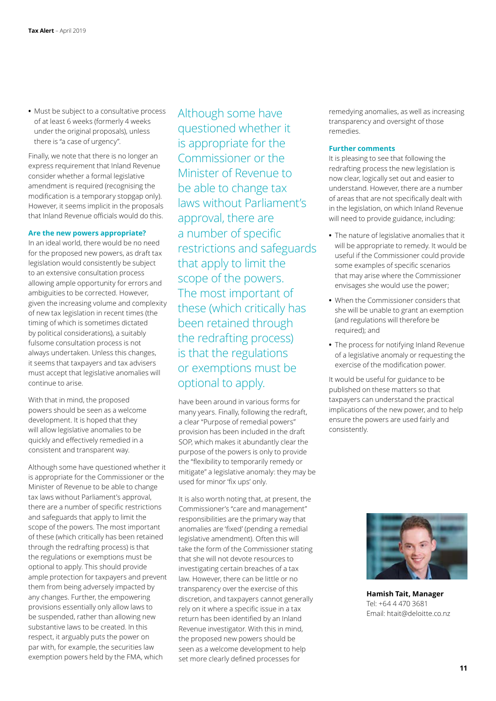**•** Must be subject to a consultative process of at least 6 weeks (formerly 4 weeks under the original proposals), unless there is "a case of urgency".

Finally, we note that there is no longer an express requirement that Inland Revenue consider whether a formal legislative amendment is required (recognising the modification is a temporary stopgap only). However, it seems implicit in the proposals that Inland Revenue officials would do this.

#### **Are the new powers appropriate?**

In an ideal world, there would be no need for the proposed new powers, as draft tax legislation would consistently be subject to an extensive consultation process allowing ample opportunity for errors and ambiguities to be corrected. However, given the increasing volume and complexity of new tax legislation in recent times (the timing of which is sometimes dictated by political considerations), a suitably fulsome consultation process is not always undertaken. Unless this changes, it seems that taxpayers and tax advisers must accept that legislative anomalies will continue to arise.

With that in mind, the proposed powers should be seen as a welcome development. It is hoped that they will allow legislative anomalies to be quickly and effectively remedied in a consistent and transparent way.

Although some have questioned whether it is appropriate for the Commissioner or the Minister of Revenue to be able to change tax laws without Parliament's approval, there are a number of specific restrictions and safeguards that apply to limit the scope of the powers. The most important of these (which critically has been retained through the redrafting process) is that the regulations or exemptions must be optional to apply. This should provide ample protection for taxpayers and prevent them from being adversely impacted by any changes. Further, the empowering provisions essentially only allow laws to be suspended, rather than allowing new substantive laws to be created. In this respect, it arguably puts the power on par with, for example, the securities law exemption powers held by the FMA, which

Although some have questioned whether it is appropriate for the Commissioner or the Minister of Revenue to be able to change tax laws without Parliament's approval, there are a number of specific restrictions and safeguards that apply to limit the scope of the powers. The most important of these (which critically has been retained through the redrafting process) is that the regulations or exemptions must be optional to apply.

have been around in various forms for many years. Finally, following the redraft, a clear "Purpose of remedial powers" provision has been included in the draft SOP, which makes it abundantly clear the purpose of the powers is only to provide the "flexibility to temporarily remedy or mitigate" a legislative anomaly: they may be used for minor 'fix ups' only.

It is also worth noting that, at present, the Commissioner's "care and management" responsibilities are the primary way that anomalies are 'fixed' (pending a remedial legislative amendment). Often this will take the form of the Commissioner stating that she will not devote resources to investigating certain breaches of a tax law. However, there can be little or no transparency over the exercise of this discretion, and taxpayers cannot generally rely on it where a specific issue in a tax return has been identified by an Inland Revenue investigator. With this in mind, the proposed new powers should be seen as a welcome development to help set more clearly defined processes for

remedying anomalies, as well as increasing transparency and oversight of those remedies.

#### **Further comments**

It is pleasing to see that following the redrafting process the new legislation is now clear, logically set out and easier to understand. However, there are a number of areas that are not specifically dealt with in the legislation, on which Inland Revenue will need to provide guidance, including:

- **•** The nature of legislative anomalies that it will be appropriate to remedy. It would be useful if the Commissioner could provide some examples of specific scenarios that may arise where the Commissioner envisages she would use the power;
- **•** When the Commissioner considers that she will be unable to grant an exemption (and regulations will therefore be required); and
- **•** The process for notifying Inland Revenue of a legislative anomaly or requesting the exercise of the modification power.

It would be useful for guidance to be published on these matters so that taxpayers can understand the practical implications of the new power, and to help ensure the powers are used fairly and consistently.



**Hamish Tait, Manager** Tel: +64 4 470 3681 Email: htait@deloitte.co.nz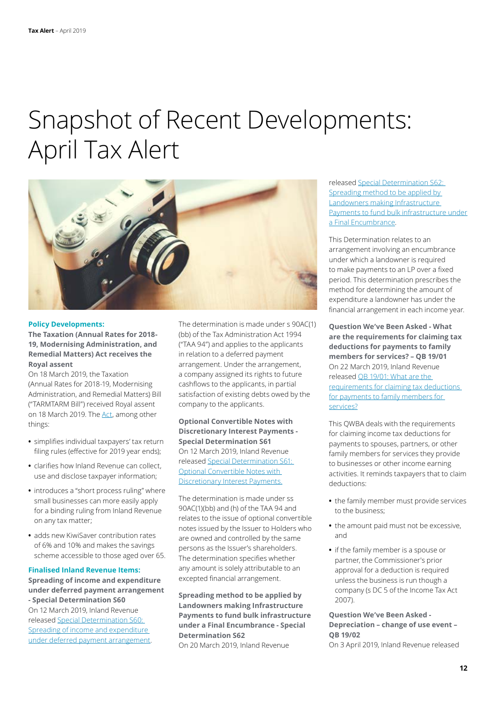### Snapshot of Recent Developments: April Tax Alert



#### **Policy Developments:**

**The Taxation (Annual Rates for 2018- 19, Modernising Administration, and Remedial Matters) Act receives the Royal assent** 

On 18 March 2019, the Taxation (Annual Rates for 2018-19, Modernising Administration, and Remedial Matters) Bill ("TARMTARM Bill") received Royal assent on 18 March 2019. The [Act,](http://www.legislation.govt.nz/act/public/2019/0005/latest/LMS55115.html?search=ad_act%40bill%40regulation%40deemedreg__modernising____25_ac%40bc%40rc%40dc%40apub%40aloc%40apri%40apro%40aimp%40bgov%40bloc%40bpri%40bmem%40rpub%40rimp_ac%40bc%40rc%40ainf%40anif%40aaif%40bcur%40rinf%40rnif_a_aw_se&p=1) among other things:

- **•** simplifies individual taxpayers' tax return filing rules (effective for 2019 year ends);
- **•** clarifies how Inland Revenue can collect, use and disclose taxpayer information;
- **•** introduces a "short process ruling" where small businesses can more easily apply for a binding ruling from Inland Revenue on any tax matter;
- **•** adds new KiwiSaver contribution rates of 6% and 10% and makes the savings scheme accessible to those aged over 65.

#### **Finalised Inland Revenue Items:**

**Spreading of income and expenditure under deferred payment arrangement - Special Determination S60** On 12 March 2019, Inland Revenue released [Special Determination S60:](https://www.ird.govt.nz/technical-tax/determinations/accrual/det-s60-deferred-payment-arrangement.html)  [Spreading of income and expenditure](https://www.ird.govt.nz/technical-tax/determinations/accrual/det-s60-deferred-payment-arrangement.html)  [under deferred payment arrangement.](https://www.ird.govt.nz/technical-tax/determinations/accrual/det-s60-deferred-payment-arrangement.html)

The determination is made under s 90AC(1) (bb) of the Tax Administration Act 1994 ("TAA 94") and applies to the applicants in relation to a deferred payment arrangement. Under the arrangement, a company assigned its rights to future cashflows to the applicants, in partial satisfaction of existing debts owed by the company to the applicants.

#### **Optional Convertible Notes with Discretionary Interest Payments - Special Determination S61**  On 12 March 2019, Inland Revenue released [Special Determination S61:](https://www.ird.govt.nz/technical-tax/determinations/accrual/det-s61-discretionary-interest-payments.html)  [Optional Convertible Notes with](https://www.ird.govt.nz/technical-tax/determinations/accrual/det-s61-discretionary-interest-payments.html)  [Discretionary Interest Payments](https://www.ird.govt.nz/technical-tax/determinations/accrual/det-s61-discretionary-interest-payments.html).

The determination is made under ss 90AC(1)(bb) and (h) of the TAA 94 and relates to the issue of optional convertible notes issued by the Issuer to Holders who are owned and controlled by the same persons as the Issuer's shareholders. The determination specifies whether any amount is solely attributable to an excepted financial arrangement.

**Spreading method to be applied by Landowners making Infrastructure Payments to fund bulk infrastructure under a Final Encumbrance - Special Determination S62** On 20 March 2019, Inland Revenue

released [Special Determination S62:](https://www.ird.govt.nz/technical-tax/determinations/accrual/det-s62-spreading-method-final-encumbrance.html)  [Spreading method to be applied by](https://www.ird.govt.nz/technical-tax/determinations/accrual/det-s62-spreading-method-final-encumbrance.html)  [Landowners making Infrastructure](https://www.ird.govt.nz/technical-tax/determinations/accrual/det-s62-spreading-method-final-encumbrance.html)  [Payments to fund bulk infrastructure under](https://www.ird.govt.nz/technical-tax/determinations/accrual/det-s62-spreading-method-final-encumbrance.html) [a Final Encumbrance](https://www.ird.govt.nz/technical-tax/determinations/accrual/det-s62-spreading-method-final-encumbrance.html).

This Determination relates to an arrangement involving an encumbrance under which a landowner is required to make payments to an LP over a fixed period. This determination prescribes the method for determining the amount of expenditure a landowner has under the financial arrangement in each income year.

**Question We've Been Asked - What are the requirements for claiming tax deductions for payments to family members for services? – QB 19/01** On 22 March 2019, Inland Revenue released [QB 19/01: What are the](https://www.ird.govt.nz/resources/4/4/44fd3845-81e1-440c-8b1b-d761b6dfc544/qb19-01.pdf)  [requirements for claiming tax deductions](https://www.ird.govt.nz/resources/4/4/44fd3845-81e1-440c-8b1b-d761b6dfc544/qb19-01.pdf)  [for payments to family members for](https://www.ird.govt.nz/resources/4/4/44fd3845-81e1-440c-8b1b-d761b6dfc544/qb19-01.pdf)  [services?](https://www.ird.govt.nz/resources/4/4/44fd3845-81e1-440c-8b1b-d761b6dfc544/qb19-01.pdf)

This QWBA deals with the requirements for claiming income tax deductions for payments to spouses, partners, or other family members for services they provide to businesses or other income earning activities. It reminds taxpayers that to claim deductions:

- **•** the family member must provide services to the business;
- **•** the amount paid must not be excessive, and
- **•** if the family member is a spouse or partner, the Commissioner's prior approval for a deduction is required unless the business is run though a company (s DC 5 of the Income Tax Act 2007).

### **Question We've Been Asked - Depreciation – change of use event – QB 19/02**

On 3 April 2019, Inland Revenue released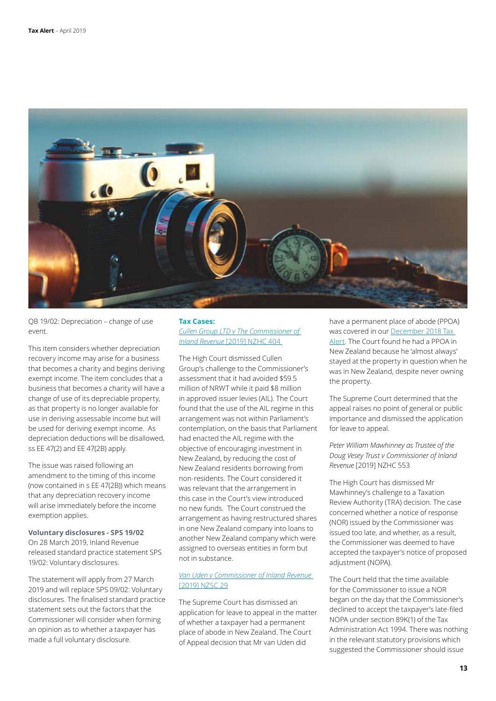

QB 19/02: Depreciation – change of use event.

This item considers whether depreciation recovery income may arise for a business that becomes a charity and begins deriving exempt income. The item concludes that a business that becomes a charity will have a change of use of its depreciable property, as that property is no longer available for use in deriving assessable income but will be used for deriving exempt income. As depreciation deductions will be disallowed, ss EE 47(2) and EE 47(2B) apply.

The issue was raised following an amendment to the timing of this income (now contained in s EE 47(2B)) which means that any depreciation recovery income will arise immediately before the income exemption applies.

**Voluntary disclosures - SPS 19/02** On 28 March 2019, Inland Revenue released standard practice statement SPS 19/02: Voluntary disclosures.

The statement will apply from 27 March 2019 and will replace SPS 09/02: Voluntary disclosures. The finalised standard practice statement sets out the factors that the Commissioner will consider when forming an opinion as to whether a taxpayer has made a full voluntary disclosure.

#### **Tax Cases:** *[Cullen Group LTD v The Commissioner of](https://forms.justice.govt.nz/search/Documents/pdf/jdo/fe/alfresco/service/api/node/content/workspace/SpacesStore/f5087840-424f-4658-b544-58a24ea3aa9c/f5087840-424f-4658-b544-58a24ea3aa9c.pdf)  Inland Revenue* [\[2019\] NZHC 404](https://forms.justice.govt.nz/search/Documents/pdf/jdo/fe/alfresco/service/api/node/content/workspace/SpacesStore/f5087840-424f-4658-b544-58a24ea3aa9c/f5087840-424f-4658-b544-58a24ea3aa9c.pdf)

The High Court dismissed Cullen Group's challenge to the Commissioner's assessment that it had avoided \$59.5 million of NRWT while it paid \$8 million in approved issuer levies (AIL). The Court found that the use of the AIL regime in this arrangement was not within Parliament's contemplation, on the basis that Parliament had enacted the AIL regime with the objective of encouraging investment in New Zealand, by reducing the cost of New Zealand residents borrowing from non-residents. The Court considered it was relevant that the arrangement in this case in the Court's view introduced no new funds. The Court construed the arrangement as having restructured shares in one New Zealand company into loans to another New Zealand company which were assigned to overseas entities in form but not in substance.

#### *[Van Uden v Commissioner of Inland Revenue](https://forms.justice.govt.nz/search/Documents/pdf/jdo/39/alfresco/service/api/node/content/workspace/SpacesStore/50cf3b40-d407-4a8d-abb1-14f4065e5935/50cf3b40-d407-4a8d-abb1-14f4065e5935.pdf)* [\[2019\] NZSC 29](https://forms.justice.govt.nz/search/Documents/pdf/jdo/39/alfresco/service/api/node/content/workspace/SpacesStore/50cf3b40-d407-4a8d-abb1-14f4065e5935/50cf3b40-d407-4a8d-abb1-14f4065e5935.pdf)

The Supreme Court has dismissed an application for leave to appeal in the matter of whether a taxpayer had a permanent place of abode in New Zealand. The Court of Appeal decision that Mr van Uden did

have a permanent place of abode (PPOA) was covered in our December 2018 Tax [Alert](https://www2.deloitte.com/nz/en/pages/tax-alerts/articles/snapshot-december-2018.html). The Court found he had a PPOA in New Zealand because he 'almost always' stayed at the property in question when he was in New Zealand, despite never owning the property.

The Supreme Court determined that the appeal raises no point of general or public importance and dismissed the application for leave to appeal.

*Peter William Mawhinney as Trustee of the Doug Vesey Trust v Commissioner of Inland Revenue* [2019] NZHC 553

The High Court has dismissed Mr Mawhinney's challenge to a Taxation Review Authority (TRA) decision. The case concerned whether a notice of response (NOR) issued by the Commissioner was issued too late, and whether, as a result, the Commissioner was deemed to have accepted the taxpayer's notice of proposed adiustment (NOPA).

The Court held that the time available for the Commissioner to issue a NOR began on the day that the Commissioner's declined to accept the taxpayer's late-filed NOPA under section 89K(1) of the Tax Administration Act 1994. There was nothing in the relevant statutory provisions which suggested the Commissioner should issue